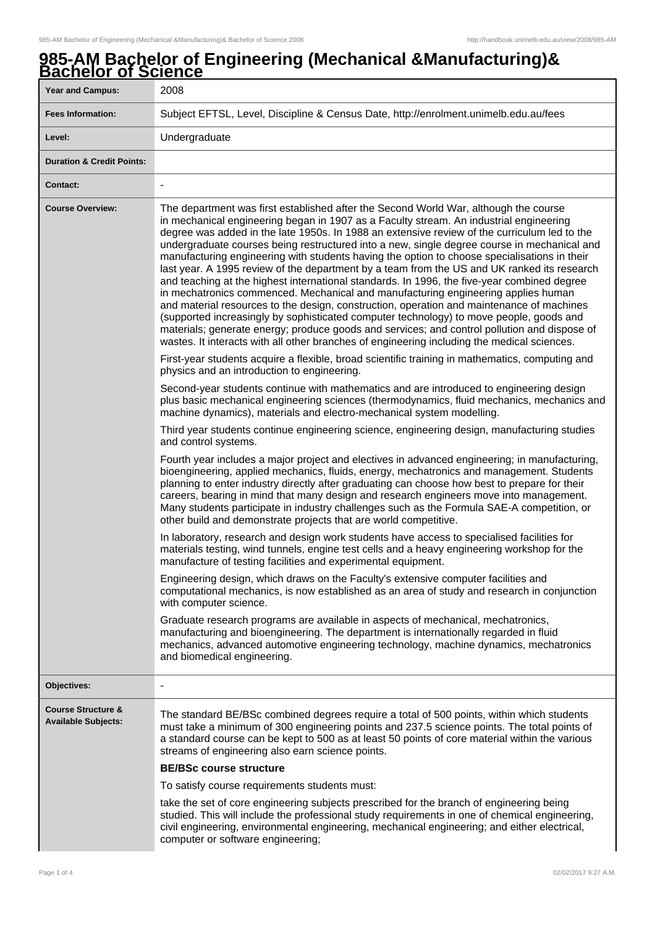# **985-AM Bachelor of Engineering (Mechanical &Manufacturing)& Bachelor of Science**

| <u>ישטווטוטו וטו טוטווטט</u><br><b>Year and Campus:</b>     | 2008                                                                                                                                                                                                                                                                                                                                                                                                                                                                                                                                                                                                                                                                                                                                                                                                                                                                                                                                                                                                                                                                                                                                                                                                                                                                                                      |
|-------------------------------------------------------------|-----------------------------------------------------------------------------------------------------------------------------------------------------------------------------------------------------------------------------------------------------------------------------------------------------------------------------------------------------------------------------------------------------------------------------------------------------------------------------------------------------------------------------------------------------------------------------------------------------------------------------------------------------------------------------------------------------------------------------------------------------------------------------------------------------------------------------------------------------------------------------------------------------------------------------------------------------------------------------------------------------------------------------------------------------------------------------------------------------------------------------------------------------------------------------------------------------------------------------------------------------------------------------------------------------------|
| <b>Fees Information:</b>                                    | Subject EFTSL, Level, Discipline & Census Date, http://enrolment.unimelb.edu.au/fees                                                                                                                                                                                                                                                                                                                                                                                                                                                                                                                                                                                                                                                                                                                                                                                                                                                                                                                                                                                                                                                                                                                                                                                                                      |
| Level:                                                      | Undergraduate                                                                                                                                                                                                                                                                                                                                                                                                                                                                                                                                                                                                                                                                                                                                                                                                                                                                                                                                                                                                                                                                                                                                                                                                                                                                                             |
| <b>Duration &amp; Credit Points:</b>                        |                                                                                                                                                                                                                                                                                                                                                                                                                                                                                                                                                                                                                                                                                                                                                                                                                                                                                                                                                                                                                                                                                                                                                                                                                                                                                                           |
| <b>Contact:</b>                                             | $\overline{\phantom{a}}$                                                                                                                                                                                                                                                                                                                                                                                                                                                                                                                                                                                                                                                                                                                                                                                                                                                                                                                                                                                                                                                                                                                                                                                                                                                                                  |
| <b>Course Overview:</b>                                     | The department was first established after the Second World War, although the course<br>in mechanical engineering began in 1907 as a Faculty stream. An industrial engineering<br>degree was added in the late 1950s. In 1988 an extensive review of the curriculum led to the<br>undergraduate courses being restructured into a new, single degree course in mechanical and<br>manufacturing engineering with students having the option to choose specialisations in their<br>last year. A 1995 review of the department by a team from the US and UK ranked its research<br>and teaching at the highest international standards. In 1996, the five-year combined degree<br>in mechatronics commenced. Mechanical and manufacturing engineering applies human<br>and material resources to the design, construction, operation and maintenance of machines<br>(supported increasingly by sophisticated computer technology) to move people, goods and<br>materials; generate energy; produce goods and services; and control pollution and dispose of<br>wastes. It interacts with all other branches of engineering including the medical sciences.<br>First-year students acquire a flexible, broad scientific training in mathematics, computing and<br>physics and an introduction to engineering. |
|                                                             | Second-year students continue with mathematics and are introduced to engineering design<br>plus basic mechanical engineering sciences (thermodynamics, fluid mechanics, mechanics and<br>machine dynamics), materials and electro-mechanical system modelling.                                                                                                                                                                                                                                                                                                                                                                                                                                                                                                                                                                                                                                                                                                                                                                                                                                                                                                                                                                                                                                            |
|                                                             | Third year students continue engineering science, engineering design, manufacturing studies<br>and control systems.                                                                                                                                                                                                                                                                                                                                                                                                                                                                                                                                                                                                                                                                                                                                                                                                                                                                                                                                                                                                                                                                                                                                                                                       |
|                                                             | Fourth year includes a major project and electives in advanced engineering; in manufacturing,<br>bioengineering, applied mechanics, fluids, energy, mechatronics and management. Students<br>planning to enter industry directly after graduating can choose how best to prepare for their<br>careers, bearing in mind that many design and research engineers move into management.<br>Many students participate in industry challenges such as the Formula SAE-A competition, or<br>other build and demonstrate projects that are world competitive.                                                                                                                                                                                                                                                                                                                                                                                                                                                                                                                                                                                                                                                                                                                                                    |
|                                                             | In laboratory, research and design work students have access to specialised facilities for<br>materials testing, wind tunnels, engine test cells and a heavy engineering workshop for the<br>manufacture of testing facilities and experimental equipment.                                                                                                                                                                                                                                                                                                                                                                                                                                                                                                                                                                                                                                                                                                                                                                                                                                                                                                                                                                                                                                                |
|                                                             | Engineering design, which draws on the Faculty's extensive computer facilities and<br>computational mechanics, is now established as an area of study and research in conjunction<br>with computer science.                                                                                                                                                                                                                                                                                                                                                                                                                                                                                                                                                                                                                                                                                                                                                                                                                                                                                                                                                                                                                                                                                               |
|                                                             | Graduate research programs are available in aspects of mechanical, mechatronics,<br>manufacturing and bioengineering. The department is internationally regarded in fluid<br>mechanics, advanced automotive engineering technology, machine dynamics, mechatronics<br>and biomedical engineering.                                                                                                                                                                                                                                                                                                                                                                                                                                                                                                                                                                                                                                                                                                                                                                                                                                                                                                                                                                                                         |
| Objectives:                                                 |                                                                                                                                                                                                                                                                                                                                                                                                                                                                                                                                                                                                                                                                                                                                                                                                                                                                                                                                                                                                                                                                                                                                                                                                                                                                                                           |
| <b>Course Structure &amp;</b><br><b>Available Subjects:</b> | The standard BE/BSc combined degrees require a total of 500 points, within which students<br>must take a minimum of 300 engineering points and 237.5 science points. The total points of<br>a standard course can be kept to 500 as at least 50 points of core material within the various<br>streams of engineering also earn science points.                                                                                                                                                                                                                                                                                                                                                                                                                                                                                                                                                                                                                                                                                                                                                                                                                                                                                                                                                            |
|                                                             | <b>BE/BSc course structure</b><br>To satisfy course requirements students must:                                                                                                                                                                                                                                                                                                                                                                                                                                                                                                                                                                                                                                                                                                                                                                                                                                                                                                                                                                                                                                                                                                                                                                                                                           |
|                                                             | take the set of core engineering subjects prescribed for the branch of engineering being<br>studied. This will include the professional study requirements in one of chemical engineering,<br>civil engineering, environmental engineering, mechanical engineering; and either electrical,<br>computer or software engineering;                                                                                                                                                                                                                                                                                                                                                                                                                                                                                                                                                                                                                                                                                                                                                                                                                                                                                                                                                                           |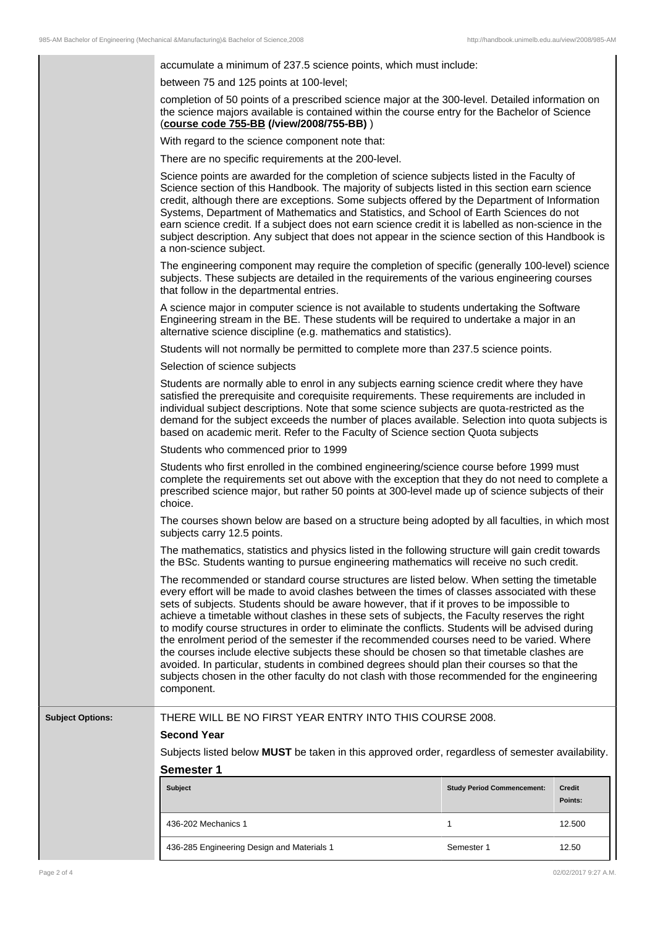|                         | accumulate a minimum of 237.5 science points, which must include:                                                                                                                                                                                                                                                                                                                                                                                                                                                                                                                                                                                                                                                                                                                                                                                                                                   |                                   |                   |
|-------------------------|-----------------------------------------------------------------------------------------------------------------------------------------------------------------------------------------------------------------------------------------------------------------------------------------------------------------------------------------------------------------------------------------------------------------------------------------------------------------------------------------------------------------------------------------------------------------------------------------------------------------------------------------------------------------------------------------------------------------------------------------------------------------------------------------------------------------------------------------------------------------------------------------------------|-----------------------------------|-------------------|
|                         | between 75 and 125 points at 100-level;                                                                                                                                                                                                                                                                                                                                                                                                                                                                                                                                                                                                                                                                                                                                                                                                                                                             |                                   |                   |
|                         | completion of 50 points of a prescribed science major at the 300-level. Detailed information on<br>the science majors available is contained within the course entry for the Bachelor of Science<br>(course code 755-BB (/view/2008/755-BB))                                                                                                                                                                                                                                                                                                                                                                                                                                                                                                                                                                                                                                                        |                                   |                   |
|                         | With regard to the science component note that:                                                                                                                                                                                                                                                                                                                                                                                                                                                                                                                                                                                                                                                                                                                                                                                                                                                     |                                   |                   |
|                         | There are no specific requirements at the 200-level.                                                                                                                                                                                                                                                                                                                                                                                                                                                                                                                                                                                                                                                                                                                                                                                                                                                |                                   |                   |
|                         | Science points are awarded for the completion of science subjects listed in the Faculty of<br>Science section of this Handbook. The majority of subjects listed in this section earn science<br>credit, although there are exceptions. Some subjects offered by the Department of Information<br>Systems, Department of Mathematics and Statistics, and School of Earth Sciences do not<br>earn science credit. If a subject does not earn science credit it is labelled as non-science in the<br>subject description. Any subject that does not appear in the science section of this Handbook is<br>a non-science subject.                                                                                                                                                                                                                                                                        |                                   |                   |
|                         | The engineering component may require the completion of specific (generally 100-level) science<br>subjects. These subjects are detailed in the requirements of the various engineering courses<br>that follow in the departmental entries.                                                                                                                                                                                                                                                                                                                                                                                                                                                                                                                                                                                                                                                          |                                   |                   |
|                         | A science major in computer science is not available to students undertaking the Software<br>Engineering stream in the BE. These students will be required to undertake a major in an<br>alternative science discipline (e.g. mathematics and statistics).                                                                                                                                                                                                                                                                                                                                                                                                                                                                                                                                                                                                                                          |                                   |                   |
|                         | Students will not normally be permitted to complete more than 237.5 science points.                                                                                                                                                                                                                                                                                                                                                                                                                                                                                                                                                                                                                                                                                                                                                                                                                 |                                   |                   |
|                         | Selection of science subjects                                                                                                                                                                                                                                                                                                                                                                                                                                                                                                                                                                                                                                                                                                                                                                                                                                                                       |                                   |                   |
|                         | Students are normally able to enrol in any subjects earning science credit where they have<br>satisfied the prerequisite and corequisite requirements. These requirements are included in<br>individual subject descriptions. Note that some science subjects are quota-restricted as the<br>demand for the subject exceeds the number of places available. Selection into quota subjects is<br>based on academic merit. Refer to the Faculty of Science section Quota subjects                                                                                                                                                                                                                                                                                                                                                                                                                     |                                   |                   |
|                         | Students who commenced prior to 1999                                                                                                                                                                                                                                                                                                                                                                                                                                                                                                                                                                                                                                                                                                                                                                                                                                                                |                                   |                   |
|                         | Students who first enrolled in the combined engineering/science course before 1999 must<br>complete the requirements set out above with the exception that they do not need to complete a<br>prescribed science major, but rather 50 points at 300-level made up of science subjects of their<br>choice.                                                                                                                                                                                                                                                                                                                                                                                                                                                                                                                                                                                            |                                   |                   |
|                         | The courses shown below are based on a structure being adopted by all faculties, in which most<br>subjects carry 12.5 points.                                                                                                                                                                                                                                                                                                                                                                                                                                                                                                                                                                                                                                                                                                                                                                       |                                   |                   |
|                         | The mathematics, statistics and physics listed in the following structure will gain credit towards<br>the BSc. Students wanting to pursue engineering mathematics will receive no such credit.                                                                                                                                                                                                                                                                                                                                                                                                                                                                                                                                                                                                                                                                                                      |                                   |                   |
|                         | The recommended or standard course structures are listed below. When setting the timetable<br>every effort will be made to avoid clashes between the times of classes associated with these<br>sets of subjects. Students should be aware however, that if it proves to be impossible to<br>achieve a timetable without clashes in these sets of subjects, the Faculty reserves the right<br>to modify course structures in order to eliminate the conflicts. Students will be advised during<br>the enrolment period of the semester if the recommended courses need to be varied. Where<br>the courses include elective subjects these should be chosen so that timetable clashes are<br>avoided. In particular, students in combined degrees should plan their courses so that the<br>subjects chosen in the other faculty do not clash with those recommended for the engineering<br>component. |                                   |                   |
| <b>Subject Options:</b> | THERE WILL BE NO FIRST YEAR ENTRY INTO THIS COURSE 2008.<br><b>Second Year</b>                                                                                                                                                                                                                                                                                                                                                                                                                                                                                                                                                                                                                                                                                                                                                                                                                      |                                   |                   |
|                         | Subjects listed below MUST be taken in this approved order, regardless of semester availability.                                                                                                                                                                                                                                                                                                                                                                                                                                                                                                                                                                                                                                                                                                                                                                                                    |                                   |                   |
|                         | <b>Semester 1</b>                                                                                                                                                                                                                                                                                                                                                                                                                                                                                                                                                                                                                                                                                                                                                                                                                                                                                   |                                   |                   |
|                         | <b>Subject</b>                                                                                                                                                                                                                                                                                                                                                                                                                                                                                                                                                                                                                                                                                                                                                                                                                                                                                      | <b>Study Period Commencement:</b> | Credit<br>Points: |
|                         |                                                                                                                                                                                                                                                                                                                                                                                                                                                                                                                                                                                                                                                                                                                                                                                                                                                                                                     |                                   |                   |
|                         | 436-202 Mechanics 1                                                                                                                                                                                                                                                                                                                                                                                                                                                                                                                                                                                                                                                                                                                                                                                                                                                                                 | 1                                 | 12.500            |

436-285 Engineering Design and Materials 1 Semester 1 Semester 1 12.50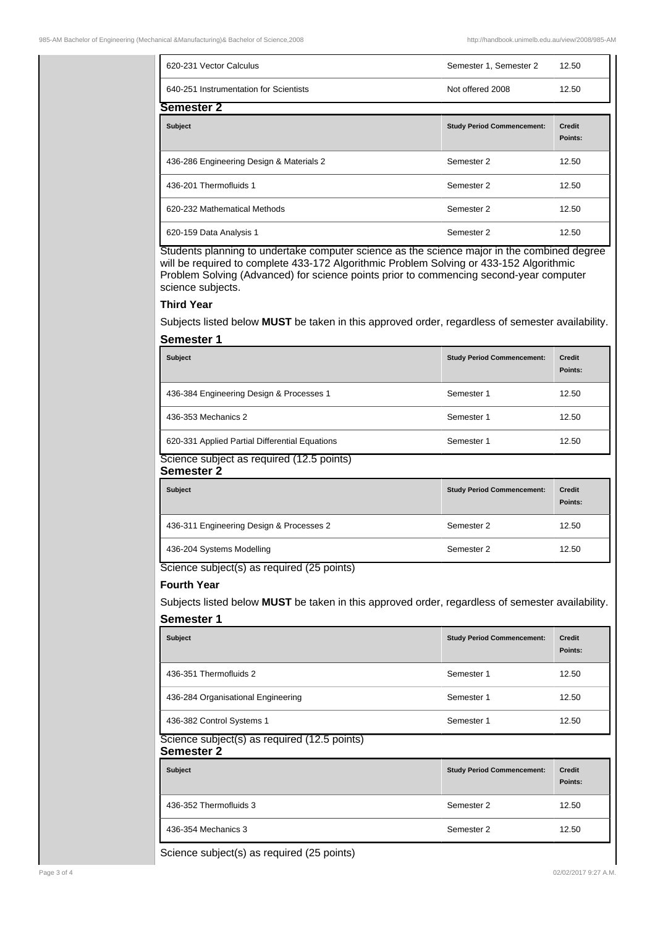| 620-231 Vector Calculus                  | Semester 1, Semester 2            | 12.50                    |
|------------------------------------------|-----------------------------------|--------------------------|
| 640-251 Instrumentation for Scientists   | Not offered 2008                  | 12.50                    |
| Semester 2                               |                                   |                          |
| <b>Subject</b>                           | <b>Study Period Commencement:</b> | <b>Credit</b><br>Points: |
| 436-286 Engineering Design & Materials 2 | Semester 2                        | 12.50                    |
| 436-201 Thermofluids 1                   | Semester 2                        | 12.50                    |
| 620-232 Mathematical Methods             | Semester 2                        | 12.50                    |
| 620-159 Data Analysis 1                  | Semester 2                        | 12.50                    |

Students planning to undertake computer science as the science major in the combined degree will be required to complete 433-172 Algorithmic Problem Solving or 433-152 Algorithmic Problem Solving (Advanced) for science points prior to commencing second-year computer science subjects.

### **Third Year**

Subjects listed below **MUST** be taken in this approved order, regardless of semester availability.

## **Semester 1**

| <b>Subject</b>                                 | <b>Study Period Commencement:</b> | <b>Credit</b><br>Points: |
|------------------------------------------------|-----------------------------------|--------------------------|
| 436-384 Engineering Design & Processes 1       | Semester 1                        | 12.50                    |
| 436-353 Mechanics 2                            | Semester 1                        | 12.50                    |
| 620-331 Applied Partial Differential Equations | Semester 1                        | 12.50                    |

#### Science subject as required (12.5 points) **Semester 2**

| <b>Subject</b>                           | <b>Study Period Commencement:</b> | <b>Credit</b> |
|------------------------------------------|-----------------------------------|---------------|
|                                          |                                   | Points:       |
| 436-311 Engineering Design & Processes 2 | Semester 2                        | 12.50         |
| 436-204 Systems Modelling                | Semester 2                        | 12.50         |
| $0.1 - 1.1$                              |                                   |               |

Science subject(s) as required (25 points)

## **Fourth Year**

Subjects listed below **MUST** be taken in this approved order, regardless of semester availability. **Semester 1**

| <b>Subject</b>                                                                                   | <b>Study Period Commencement:</b> | <b>Credit</b><br>Points: |
|--------------------------------------------------------------------------------------------------|-----------------------------------|--------------------------|
| 436-351 Thermofluids 2                                                                           | Semester 1                        | 12.50                    |
| 436-284 Organisational Engineering                                                               | Semester 1                        | 12.50                    |
| 436-382 Control Systems 1<br>—<br>-<br>-<br>$\cdots$<br>-<br>$\cdots$<br>$\cdot$ $\cdot$ $\cdot$ | Semester 1                        | 12.50                    |

#### Science subject(s) as required (12.5 points) **Semester 2**

| <b>Subject</b>         | <b>Study Period Commencement:</b> | <b>Credit</b><br>Points: |
|------------------------|-----------------------------------|--------------------------|
| 436-352 Thermofluids 3 | Semester 2                        | 12.50                    |
| 436-354 Mechanics 3    | Semester 2                        | 12.50                    |

Science subject(s) as required (25 points)